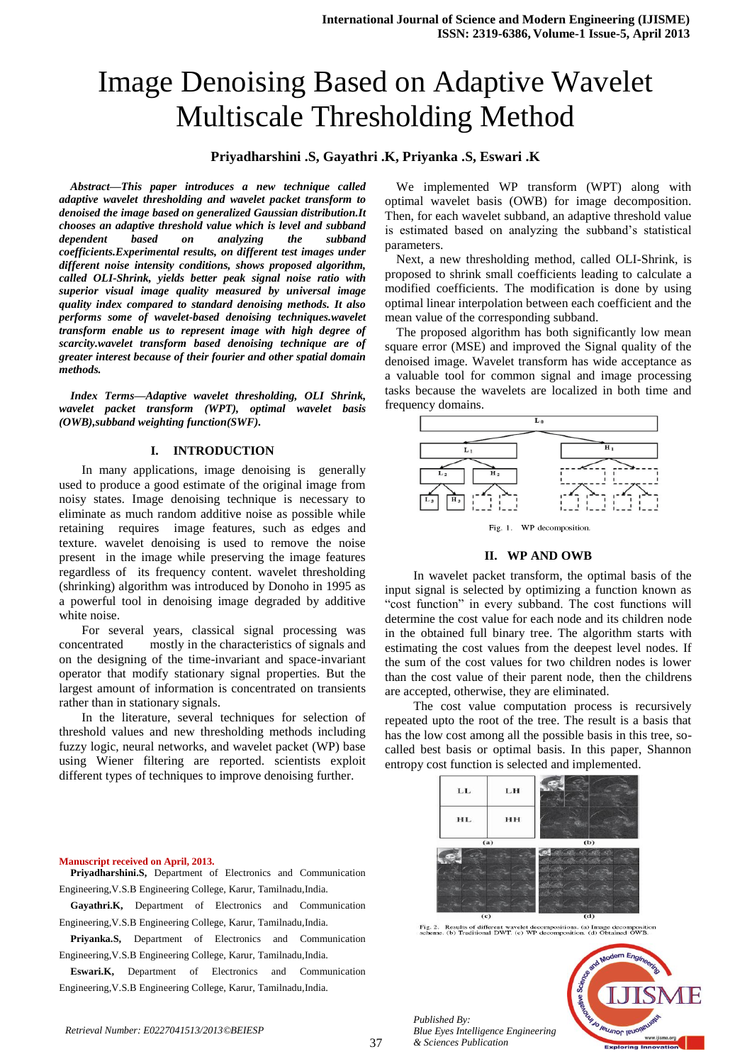# Image Denoising Based on Adaptive Wavelet Multiscale Thresholding Method

## **Priyadharshini .S, Gayathri .K, Priyanka .S, Eswari .K**

*Abstract—This paper introduces a new technique called adaptive wavelet thresholding and wavelet packet transform to denoised the image based on generalized Gaussian distribution.It chooses an adaptive threshold value which is level and subband dependent based on analyzing the subband coefficients.Experimental results, on different test images under different noise intensity conditions, shows proposed algorithm, called OLI-Shrink, yields better peak signal noise ratio with superior visual image quality measured by universal image quality index compared to standard denoising methods. It also performs some of wavelet-based denoising techniques.wavelet transform enable us to represent image with high degree of scarcity.wavelet transform based denoising technique are of greater interest because of their fourier and other spatial domain methods.*

*Index Terms—Adaptive wavelet thresholding, OLI Shrink, wavelet packet transform (WPT), optimal wavelet basis (OWB),subband weighting function(SWF).*

## **I. INTRODUCTION**

In many applications, image denoising is generally used to produce a good estimate of the original image from noisy states. Image denoising technique is necessary to eliminate as much random additive noise as possible while retaining requires image features, such as edges and texture. wavelet denoising is used to remove the noise present in the image while preserving the image features regardless of its frequency content. wavelet thresholding (shrinking) algorithm was introduced by Donoho in 1995 as a powerful tool in denoising image degraded by additive white noise.

For several years, classical signal processing was concentrated mostly in the characteristics of signals and on the designing of the time-invariant and space-invariant operator that modify stationary signal properties. But the largest amount of information is concentrated on transients rather than in stationary signals.

In the literature, several techniques for selection of threshold values and new thresholding methods including fuzzy logic, neural networks, and wavelet packet (WP) base using Wiener filtering are reported. scientists exploit different types of techniques to improve denoising further.

We implemented WP transform (WPT) along with optimal wavelet basis (OWB) for image decomposition. Then, for each wavelet subband, an adaptive threshold value is estimated based on analyzing the subband's statistical parameters.

Next, a new thresholding method, called OLI-Shrink, is proposed to shrink small coefficients leading to calculate a modified coefficients. The modification is done by using optimal linear interpolation between each coefficient and the mean value of the corresponding subband.

The proposed algorithm has both significantly low mean square error (MSE) and improved the Signal quality of the denoised image. Wavelet transform has wide acceptance as a valuable tool for common signal and image processing tasks because the wavelets are localized in both time and frequency domains.



WP decomposition Fig. 1

#### **II. WP AND OWB**

In wavelet packet transform, the optimal basis of the input signal is selected by optimizing a function known as "cost function" in every subband. The cost functions will determine the cost value for each node and its children node in the obtained full binary tree. The algorithm starts with estimating the cost values from the deepest level nodes. If the sum of the cost values for two children nodes is lower than the cost value of their parent node, then the childrens are accepted, otherwise, they are eliminated.

The cost value computation process is recursively repeated upto the root of the tree. The result is a basis that has the low cost among all the possible basis in this tree, socalled best basis or optimal basis. In this paper, Shannon entropy cost function is selected and implemented.



Fig. 2. Results of different wavelet decompositions. (a) Image decompositischeme. (b) Traditional DWT. (c) WP decomposition. (d) Obtained OWB

## **Priyanka.S,** Department of Electronics and Communication Engineering,V.S.B Engineering College, Karur, Tamilnadu,India.

Engineering,V.S.B Engineering College, Karur, Tamilnadu,India.

Engineering,V.S.B Engineering College, Karur, Tamilnadu,India.

**Priyadharshini.S,** Department of Electronics and Communication

**Gayathri.K,** Department of Electronics and Communication

**Eswari.K,** Department of Electronics and Communication Engineering,V.S.B Engineering College, Karur, Tamilnadu,India.

> *Published By: Blue Eyes Intelligence Engineering & Sciences Publication*



**Manuscript received on April, 2013.**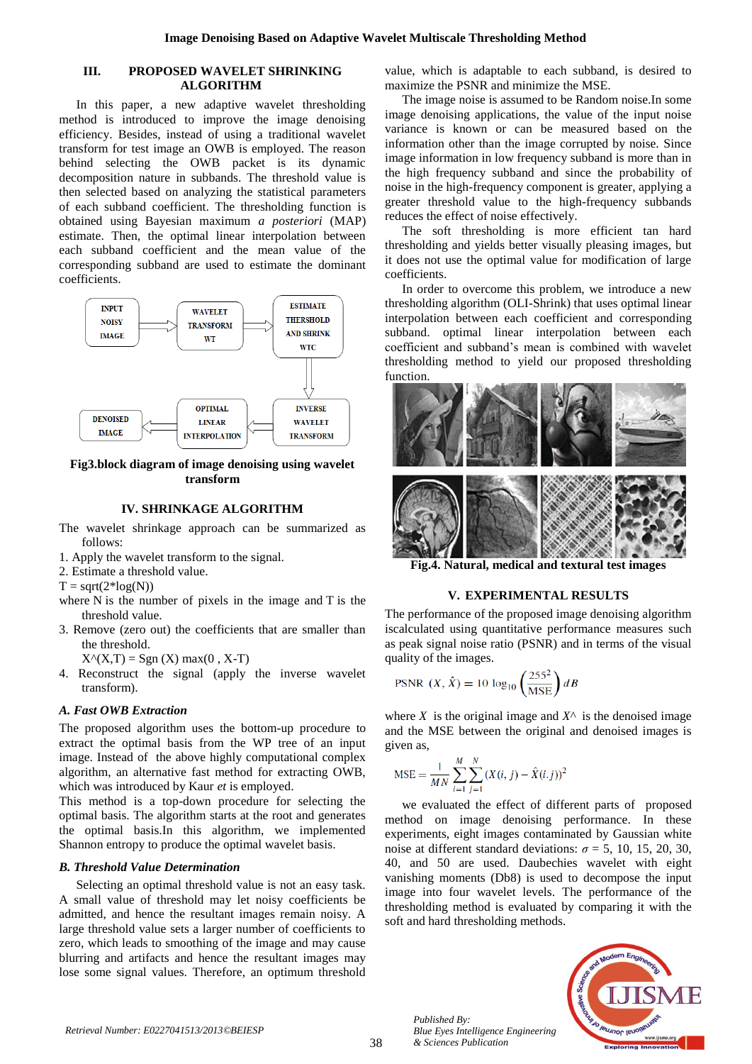## **III. PROPOSED WAVELET SHRINKING ALGORITHM**

In this paper, a new adaptive wavelet thresholding method is introduced to improve the image denoising efficiency. Besides, instead of using a traditional wavelet transform for test image an OWB is employed. The reason behind selecting the OWB packet is its dynamic decomposition nature in subbands. The threshold value is then selected based on analyzing the statistical parameters of each subband coefficient. The thresholding function is obtained using Bayesian maximum *a posteriori* (MAP) estimate. Then, the optimal linear interpolation between each subband coefficient and the mean value of the corresponding subband are used to estimate the dominant coefficients.



**Fig3.block diagram of image denoising using wavelet transform**

## **IV. SHRINKAGE ALGORITHM**

- The wavelet shrinkage approach can be summarized as follows:
- 1. Apply the wavelet transform to the signal.
- 2. Estimate a threshold value.
- $T = sqrt(2 * log(N))$
- where N is the number of pixels in the image and T is the threshold value.
- 3. Remove (zero out) the coefficients that are smaller than the threshold.

 $X^{\wedge}(X,T) = \text{Sgn}(X) \text{ max}(0, X-T)$ 

4. Reconstruct the signal (apply the inverse wavelet transform).

## *A. Fast OWB Extraction*

The proposed algorithm uses the bottom-up procedure to extract the optimal basis from the WP tree of an input image. Instead of the above highly computational complex algorithm, an alternative fast method for extracting OWB, which was introduced by Kaur *et* is employed.

This method is a top-down procedure for selecting the optimal basis. The algorithm starts at the root and generates the optimal basis.In this algorithm, we implemented Shannon entropy to produce the optimal wavelet basis.

#### *B. Threshold Value Determination*

Selecting an optimal threshold value is not an easy task. A small value of threshold may let noisy coefficients be admitted, and hence the resultant images remain noisy. A large threshold value sets a larger number of coefficients to zero, which leads to smoothing of the image and may cause blurring and artifacts and hence the resultant images may lose some signal values. Therefore, an optimum threshold value, which is adaptable to each subband, is desired to maximize the PSNR and minimize the MSE.

The image noise is assumed to be Random noise.In some image denoising applications, the value of the input noise variance is known or can be measured based on the information other than the image corrupted by noise. Since image information in low frequency subband is more than in the high frequency subband and since the probability of noise in the high-frequency component is greater, applying a greater threshold value to the high-frequency subbands reduces the effect of noise effectively.

The soft thresholding is more efficient tan hard thresholding and yields better visually pleasing images, but it does not use the optimal value for modification of large coefficients.

In order to overcome this problem, we introduce a new thresholding algorithm (OLI-Shrink) that uses optimal linear interpolation between each coefficient and corresponding subband. optimal linear interpolation between each coefficient and subband's mean is combined with wavelet thresholding method to yield our proposed thresholding function.



**Fig.4. Natural, medical and textural test images**

#### **V. EXPERIMENTAL RESULTS**

The performance of the proposed image denoising algorithm iscalculated using quantitative performance measures such as peak signal noise ratio (PSNR) and in terms of the visual quality of the images.

$$
\text{PSNR } (X, \hat{X}) = 10 \log_{10} \left( \frac{255^2}{\text{MSE}} \right) d\text{B}
$$

where *X* is the original image and  $X^{\wedge}$  is the denoised image and the MSE between the original and denoised images is given as,

$$
MSE = \frac{1}{MN} \sum_{i=1}^{M} \sum_{j=1}^{N} (X(i, j) - \hat{X}(i, j))^{2}
$$

we evaluated the effect of different parts of proposed method on image denoising performance. In these experiments, eight images contaminated by Gaussian white noise at different standard deviations:  $\sigma = 5$ , 10, 15, 20, 30, 40, and 50 are used. Daubechies wavelet with eight vanishing moments (Db8) is used to decompose the input image into four wavelet levels. The performance of the thresholding method is evaluated by comparing it with the soft and hard thresholding methods.



*Published By: Blue Eyes Intelligence Engineering & Sciences Publication*